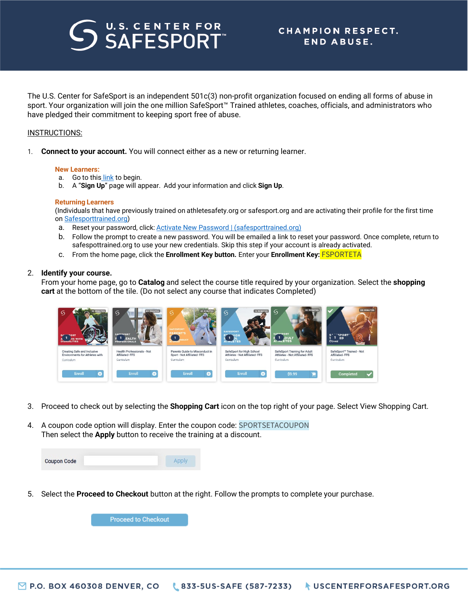# U.S. CENTER FOR

The U.S. Center for SafeSport is an independent 501c(3) non-profit organization focused on ending all forms of abuse in sport. Your organization will join the one million SafeSport™ Trained athletes, coaches, officials, and administrators who have pledged their commitment to keeping sport free of abuse.   

### INSTRUCTIONS:

1. **Connect to your account.** You will connect either as a new or returning learner.

#### **New Learners:**

- a. Go to this [link](https://safesporttrained.org/?KeyName=FSPORTETA) to begin.
- b. A "**Sign Up**" page will appear. Add your information and click **Sign Up**.

#### **Returning Learners**

(Individuals that have previously trained on athletesafety.org or safesport.org and are activating their profile for the first time o[n Safesporttrained.org\)](https://safesporttrained.org/)

- a. Reset your password, click: **[Activate New Password | \(safesporttrained.org\)](https://safesporttrained.org/#/forgot-password)**
- b. Follow the prompt to create a new password. You will be emailed a link to reset your password. Once complete, return to safespottrained.org to use your new credentials. Skip this step if your account is already activated.
- c. From the home page, click the **Enrollment Key button.** Enter your **Enrollment Key:** FSPORTETA

### 2. **Identify your course.**

From your home page, go to **Catalog** and select the course title required by your organization. Select the **shopping cart** at the bottom of the tile. (Do not select any course that indicates Completed)



- 3. Proceed to check out by selecting the **Shopping Cart** icon on the top right of your page. Select View Shopping Cart.
- 4. A coupon code option will display. Enter the coupon code: SPORTSETACOUPON Then select the **Apply** button to receive the training at a discount.

| <b>Coupon Code</b> | Apply |
|--------------------|-------|
|                    |       |

5. Select the **Proceed to Checkout** button at the right. Follow the prompts to complete your purchase.

**Proceed to Checkout**